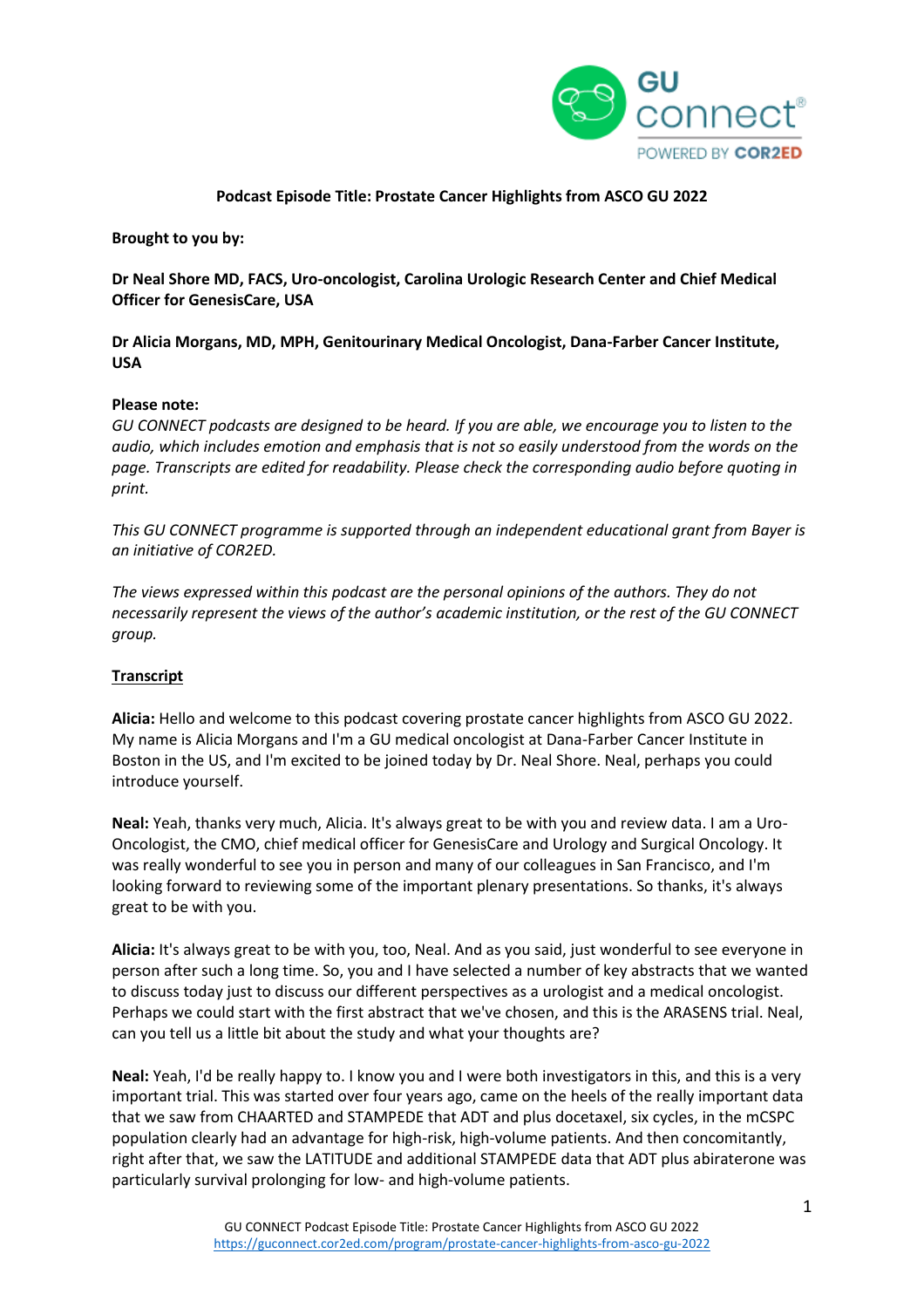

## **Podcast Episode Title: Prostate Cancer Highlights from ASCO GU 2022**

**Brought to you by:**

**Dr Neal Shore MD, FACS, Uro-oncologist, Carolina Urologic Research Center and Chief Medical Officer for GenesisCare, USA**

**Dr Alicia Morgans, MD, MPH, Genitourinary Medical Oncologist, Dana-Farber Cancer Institute, USA**

## **Please note:**

*GU CONNECT podcasts are designed to be heard. If you are able, we encourage you to listen to the audio, which includes emotion and emphasis that is not so easily understood from the words on the page. Transcripts are edited for readability. Please check the corresponding audio before quoting in print.*

*This GU CONNECT programme is supported through an independent educational grant from Bayer is an initiative of COR2ED.*

*The views expressed within this podcast are the personal opinions of the authors. They do not necessarily represent the views of the author's academic institution, or the rest of the GU CONNECT group.*

## **Transcript**

**Alicia:** Hello and welcome to this podcast covering prostate cancer highlights from ASCO GU 2022. My name is Alicia Morgans and I'm a GU medical oncologist at Dana-Farber Cancer Institute in Boston in the US, and I'm excited to be joined today by Dr. Neal Shore. Neal, perhaps you could introduce yourself.

**Neal:** Yeah, thanks very much, Alicia. It's always great to be with you and review data. I am a Uro-Oncologist, the CMO, chief medical officer for GenesisCare and Urology and Surgical Oncology. It was really wonderful to see you in person and many of our colleagues in San Francisco, and I'm looking forward to reviewing some of the important plenary presentations. So thanks, it's always great to be with you.

**Alicia:** It's always great to be with you, too, Neal. And as you said, just wonderful to see everyone in person after such a long time. So, you and I have selected a number of key abstracts that we wanted to discuss today just to discuss our different perspectives as a urologist and a medical oncologist. Perhaps we could start with the first abstract that we've chosen, and this is the ARASENS trial. Neal, can you tell us a little bit about the study and what your thoughts are?

**Neal:** Yeah, I'd be really happy to. I know you and I were both investigators in this, and this is a very important trial. This was started over four years ago, came on the heels of the really important data that we saw from CHAARTED and STAMPEDE that ADT and plus docetaxel, six cycles, in the mCSPC population clearly had an advantage for high-risk, high-volume patients. And then concomitantly, right after that, we saw the LATITUDE and additional STAMPEDE data that ADT plus abiraterone was particularly survival prolonging for low- and high-volume patients.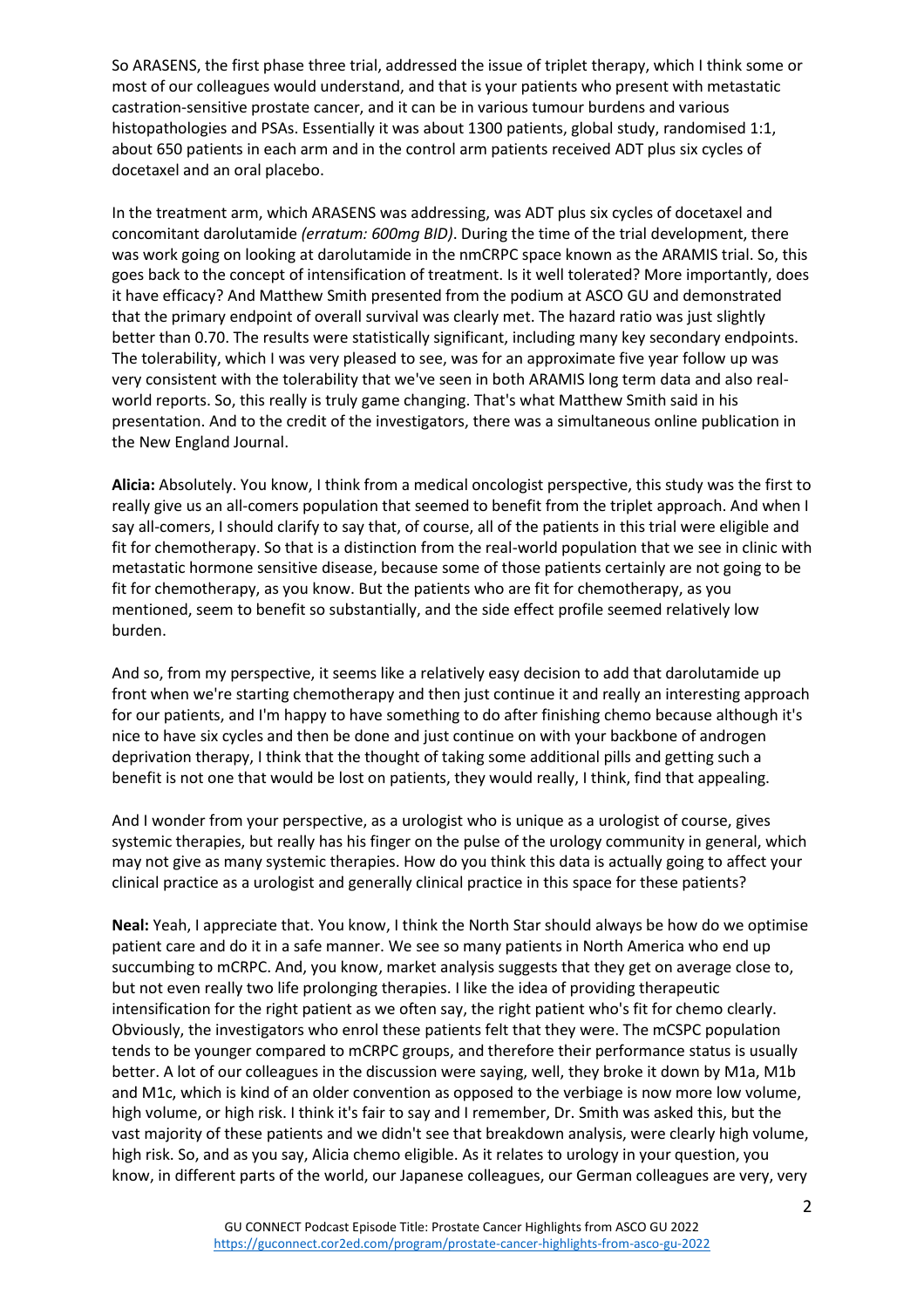So ARASENS, the first phase three trial, addressed the issue of triplet therapy, which I think some or most of our colleagues would understand, and that is your patients who present with metastatic castration-sensitive prostate cancer, and it can be in various tumour burdens and various histopathologies and PSAs. Essentially it was about 1300 patients, global study, randomised 1:1, about 650 patients in each arm and in the control arm patients received ADT plus six cycles of docetaxel and an oral placebo.

In the treatment arm, which ARASENS was addressing, was ADT plus six cycles of docetaxel and concomitant darolutamide *(erratum: 600mg BID)*. During the time of the trial development, there was work going on looking at darolutamide in the nmCRPC space known as the ARAMIS trial. So, this goes back to the concept of intensification of treatment. Is it well tolerated? More importantly, does it have efficacy? And Matthew Smith presented from the podium at ASCO GU and demonstrated that the primary endpoint of overall survival was clearly met. The hazard ratio was just slightly better than 0.70. The results were statistically significant, including many key secondary endpoints. The tolerability, which I was very pleased to see, was for an approximate five year follow up was very consistent with the tolerability that we've seen in both ARAMIS long term data and also realworld reports. So, this really is truly game changing. That's what Matthew Smith said in his presentation. And to the credit of the investigators, there was a simultaneous online publication in the New England Journal.

**Alicia:** Absolutely. You know, I think from a medical oncologist perspective, this study was the first to really give us an all-comers population that seemed to benefit from the triplet approach. And when I say all-comers, I should clarify to say that, of course, all of the patients in this trial were eligible and fit for chemotherapy. So that is a distinction from the real-world population that we see in clinic with metastatic hormone sensitive disease, because some of those patients certainly are not going to be fit for chemotherapy, as you know. But the patients who are fit for chemotherapy, as you mentioned, seem to benefit so substantially, and the side effect profile seemed relatively low burden.

And so, from my perspective, it seems like a relatively easy decision to add that darolutamide up front when we're starting chemotherapy and then just continue it and really an interesting approach for our patients, and I'm happy to have something to do after finishing chemo because although it's nice to have six cycles and then be done and just continue on with your backbone of androgen deprivation therapy, I think that the thought of taking some additional pills and getting such a benefit is not one that would be lost on patients, they would really, I think, find that appealing.

And I wonder from your perspective, as a urologist who is unique as a urologist of course, gives systemic therapies, but really has his finger on the pulse of the urology community in general, which may not give as many systemic therapies. How do you think this data is actually going to affect your clinical practice as a urologist and generally clinical practice in this space for these patients?

**Neal:** Yeah, I appreciate that. You know, I think the North Star should always be how do we optimise patient care and do it in a safe manner. We see so many patients in North America who end up succumbing to mCRPC. And, you know, market analysis suggests that they get on average close to, but not even really two life prolonging therapies. I like the idea of providing therapeutic intensification for the right patient as we often say, the right patient who's fit for chemo clearly. Obviously, the investigators who enrol these patients felt that they were. The mCSPC population tends to be younger compared to mCRPC groups, and therefore their performance status is usually better. A lot of our colleagues in the discussion were saying, well, they broke it down by M1a, M1b and M1c, which is kind of an older convention as opposed to the verbiage is now more low volume, high volume, or high risk. I think it's fair to say and I remember, Dr. Smith was asked this, but the vast majority of these patients and we didn't see that breakdown analysis, were clearly high volume, high risk. So, and as you say, Alicia chemo eligible. As it relates to urology in your question, you know, in different parts of the world, our Japanese colleagues, our German colleagues are very, very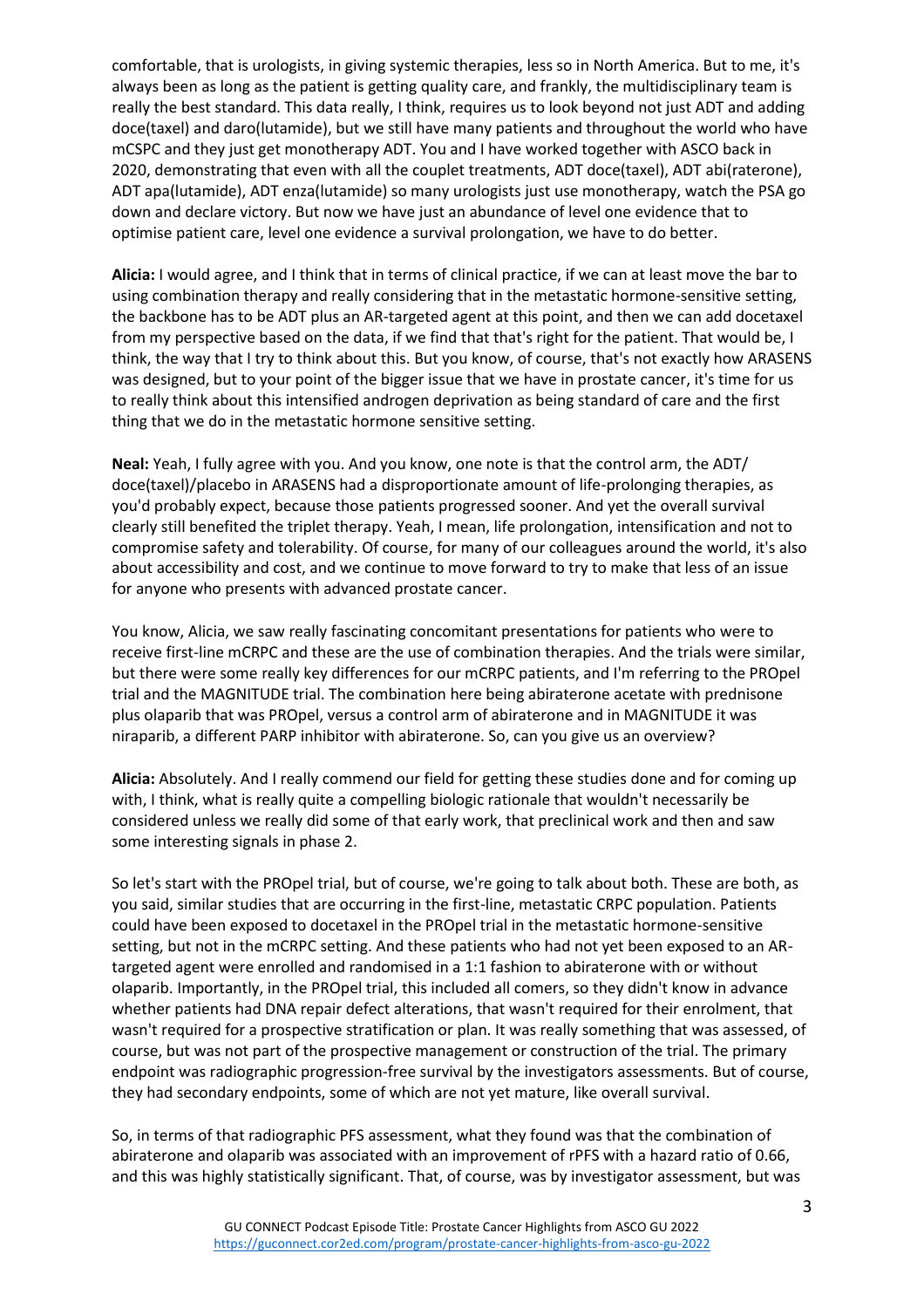comfortable, that is urologists, in giving systemic therapies, less so in North America. But to me, it's always been as long as the patient is getting quality care, and frankly, the multidisciplinary team is really the best standard. This data really, I think, requires us to look beyond not just ADT and adding doce(taxel) and daro(lutamide), but we still have many patients and throughout the world who have mCSPC and they just get monotherapy ADT. You and I have worked together with ASCO back in 2020, demonstrating that even with all the couplet treatments, ADT doce(taxel), ADT abi(raterone), ADT apa(lutamide), ADT enza(lutamide) so many urologists just use monotherapy, watch the PSA go down and declare victory. But now we have just an abundance of level one evidence that to optimise patient care, level one evidence a survival prolongation, we have to do better.

**Alicia:** I would agree, and I think that in terms of clinical practice, if we can at least move the bar to using combination therapy and really considering that in the metastatic hormone-sensitive setting, the backbone has to be ADT plus an AR-targeted agent at this point, and then we can add docetaxel from my perspective based on the data, if we find that that's right for the patient. That would be, I think, the way that I try to think about this. But you know, of course, that's not exactly how ARASENS was designed, but to your point of the bigger issue that we have in prostate cancer, it's time for us to really think about this intensified androgen deprivation as being standard of care and the first thing that we do in the metastatic hormone sensitive setting.

**Neal:** Yeah, I fully agree with you. And you know, one note is that the control arm, the ADT/ doce(taxel)/placebo in ARASENS had a disproportionate amount of life-prolonging therapies, as you'd probably expect, because those patients progressed sooner. And yet the overall survival clearly still benefited the triplet therapy. Yeah, I mean, life prolongation, intensification and not to compromise safety and tolerability. Of course, for many of our colleagues around the world, it's also about accessibility and cost, and we continue to move forward to try to make that less of an issue for anyone who presents with advanced prostate cancer.

You know, Alicia, we saw really fascinating concomitant presentations for patients who were to receive first-line mCRPC and these are the use of combination therapies. And the trials were similar, but there were some really key differences for our mCRPC patients, and I'm referring to the PROpel trial and the MAGNITUDE trial. The combination here being abiraterone acetate with prednisone plus olaparib that was PROpel, versus a control arm of abiraterone and in MAGNITUDE it was niraparib, a different PARP inhibitor with abiraterone. So, can you give us an overview?

**Alicia:** Absolutely. And I really commend our field for getting these studies done and for coming up with, I think, what is really quite a compelling biologic rationale that wouldn't necessarily be considered unless we really did some of that early work, that preclinical work and then and saw some interesting signals in phase 2.

So let's start with the PROpel trial, but of course, we're going to talk about both. These are both, as you said, similar studies that are occurring in the first-line, metastatic CRPC population. Patients could have been exposed to docetaxel in the PROpel trial in the metastatic hormone-sensitive setting, but not in the mCRPC setting. And these patients who had not yet been exposed to an ARtargeted agent were enrolled and randomised in a 1:1 fashion to abiraterone with or without olaparib. Importantly, in the PROpel trial, this included all comers, so they didn't know in advance whether patients had DNA repair defect alterations, that wasn't required for their enrolment, that wasn't required for a prospective stratification or plan. It was really something that was assessed, of course, but was not part of the prospective management or construction of the trial. The primary endpoint was radiographic progression-free survival by the investigators assessments. But of course, they had secondary endpoints, some of which are not yet mature, like overall survival.

So, in terms of that radiographic PFS assessment, what they found was that the combination of abiraterone and olaparib was associated with an improvement of rPFS with a hazard ratio of 0.66, and this was highly statistically significant. That, of course, was by investigator assessment, but was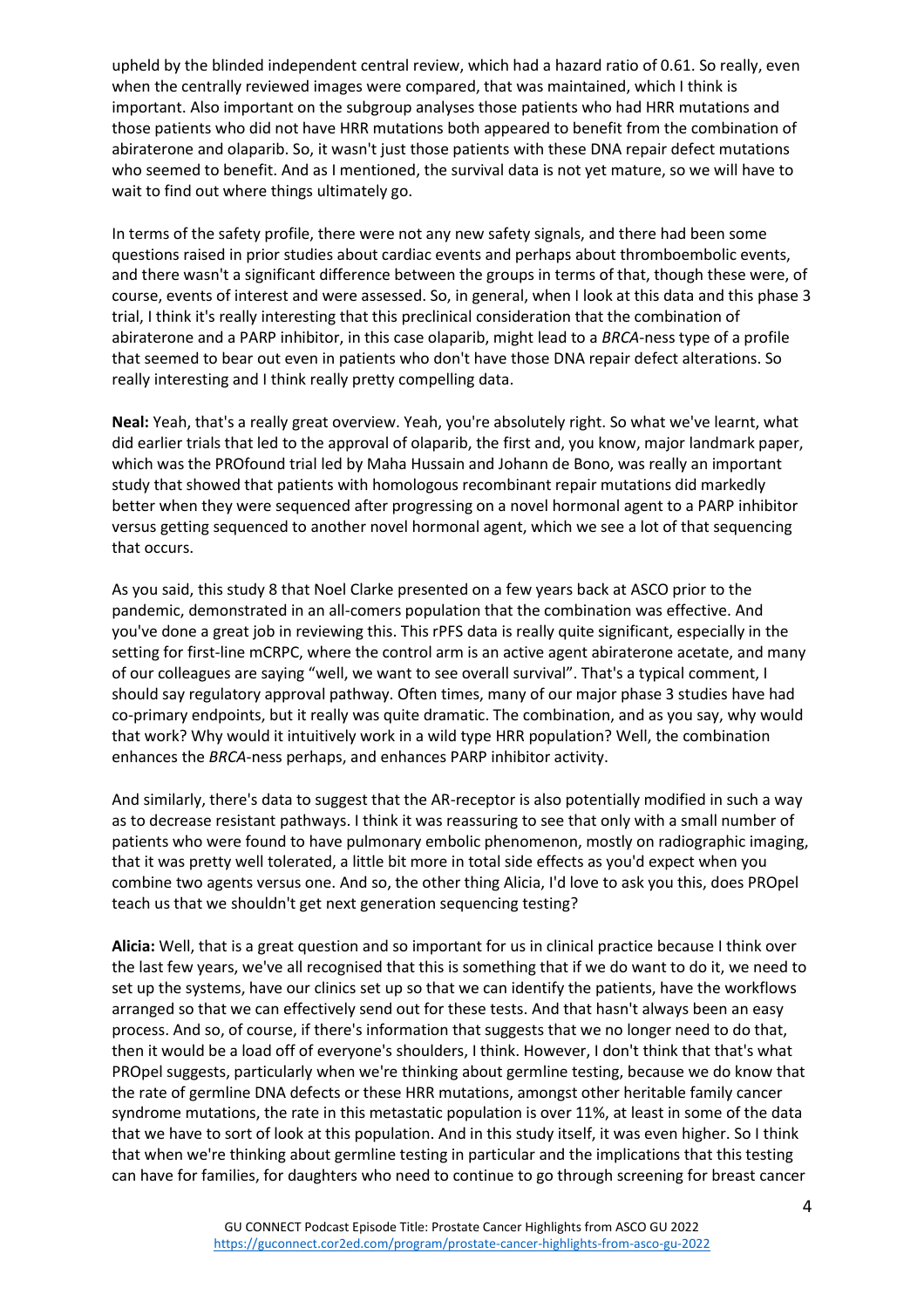upheld by the blinded independent central review, which had a hazard ratio of 0.61. So really, even when the centrally reviewed images were compared, that was maintained, which I think is important. Also important on the subgroup analyses those patients who had HRR mutations and those patients who did not have HRR mutations both appeared to benefit from the combination of abiraterone and olaparib. So, it wasn't just those patients with these DNA repair defect mutations who seemed to benefit. And as I mentioned, the survival data is not yet mature, so we will have to wait to find out where things ultimately go.

In terms of the safety profile, there were not any new safety signals, and there had been some questions raised in prior studies about cardiac events and perhaps about thromboembolic events, and there wasn't a significant difference between the groups in terms of that, though these were, of course, events of interest and were assessed. So, in general, when I look at this data and this phase 3 trial, I think it's really interesting that this preclinical consideration that the combination of abiraterone and a PARP inhibitor, in this case olaparib, might lead to a *BRCA*-ness type of a profile that seemed to bear out even in patients who don't have those DNA repair defect alterations. So really interesting and I think really pretty compelling data.

**Neal:** Yeah, that's a really great overview. Yeah, you're absolutely right. So what we've learnt, what did earlier trials that led to the approval of olaparib, the first and, you know, major landmark paper, which was the PROfound trial led by Maha Hussain and Johann de Bono, was really an important study that showed that patients with homologous recombinant repair mutations did markedly better when they were sequenced after progressing on a novel hormonal agent to a PARP inhibitor versus getting sequenced to another novel hormonal agent, which we see a lot of that sequencing that occurs.

As you said, this study 8 that Noel Clarke presented on a few years back at ASCO prior to the pandemic, demonstrated in an all-comers population that the combination was effective. And you've done a great job in reviewing this. This rPFS data is really quite significant, especially in the setting for first-line mCRPC, where the control arm is an active agent abiraterone acetate, and many of our colleagues are saying "well, we want to see overall survival". That's a typical comment, I should say regulatory approval pathway. Often times, many of our major phase 3 studies have had co-primary endpoints, but it really was quite dramatic. The combination, and as you say, why would that work? Why would it intuitively work in a wild type HRR population? Well, the combination enhances the *BRCA*-ness perhaps, and enhances PARP inhibitor activity.

And similarly, there's data to suggest that the AR-receptor is also potentially modified in such a way as to decrease resistant pathways. I think it was reassuring to see that only with a small number of patients who were found to have pulmonary embolic phenomenon, mostly on radiographic imaging, that it was pretty well tolerated, a little bit more in total side effects as you'd expect when you combine two agents versus one. And so, the other thing Alicia, I'd love to ask you this, does PROpel teach us that we shouldn't get next generation sequencing testing?

**Alicia:** Well, that is a great question and so important for us in clinical practice because I think over the last few years, we've all recognised that this is something that if we do want to do it, we need to set up the systems, have our clinics set up so that we can identify the patients, have the workflows arranged so that we can effectively send out for these tests. And that hasn't always been an easy process. And so, of course, if there's information that suggests that we no longer need to do that, then it would be a load off of everyone's shoulders, I think. However, I don't think that that's what PROpel suggests, particularly when we're thinking about germline testing, because we do know that the rate of germline DNA defects or these HRR mutations, amongst other heritable family cancer syndrome mutations, the rate in this metastatic population is over 11%, at least in some of the data that we have to sort of look at this population. And in this study itself, it was even higher. So I think that when we're thinking about germline testing in particular and the implications that this testing can have for families, for daughters who need to continue to go through screening for breast cancer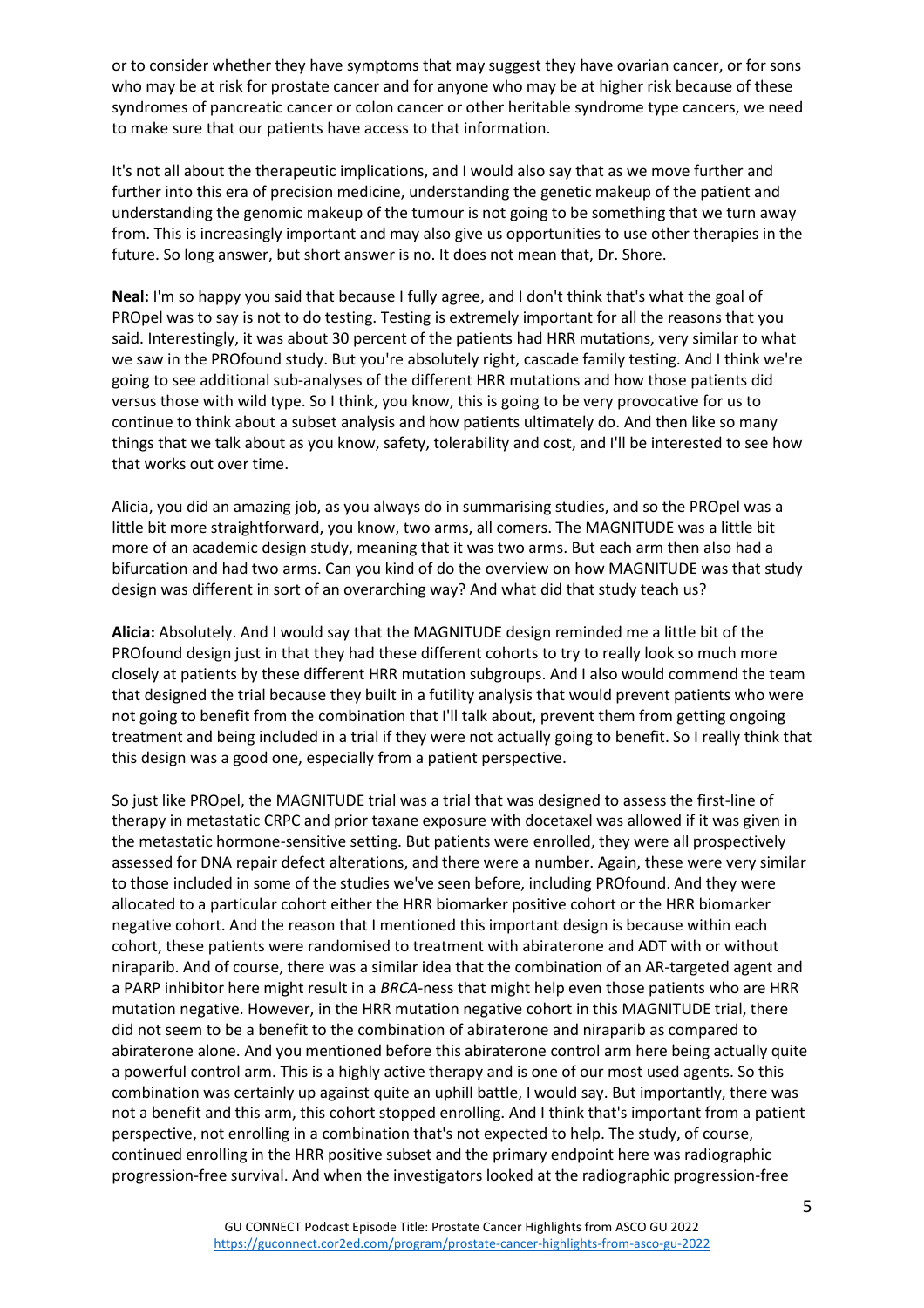or to consider whether they have symptoms that may suggest they have ovarian cancer, or for sons who may be at risk for prostate cancer and for anyone who may be at higher risk because of these syndromes of pancreatic cancer or colon cancer or other heritable syndrome type cancers, we need to make sure that our patients have access to that information.

It's not all about the therapeutic implications, and I would also say that as we move further and further into this era of precision medicine, understanding the genetic makeup of the patient and understanding the genomic makeup of the tumour is not going to be something that we turn away from. This is increasingly important and may also give us opportunities to use other therapies in the future. So long answer, but short answer is no. It does not mean that, Dr. Shore.

**Neal:** I'm so happy you said that because I fully agree, and I don't think that's what the goal of PROpel was to say is not to do testing. Testing is extremely important for all the reasons that you said. Interestingly, it was about 30 percent of the patients had HRR mutations, very similar to what we saw in the PROfound study. But you're absolutely right, cascade family testing. And I think we're going to see additional sub-analyses of the different HRR mutations and how those patients did versus those with wild type. So I think, you know, this is going to be very provocative for us to continue to think about a subset analysis and how patients ultimately do. And then like so many things that we talk about as you know, safety, tolerability and cost, and I'll be interested to see how that works out over time.

Alicia, you did an amazing job, as you always do in summarising studies, and so the PROpel was a little bit more straightforward, you know, two arms, all comers. The MAGNITUDE was a little bit more of an academic design study, meaning that it was two arms. But each arm then also had a bifurcation and had two arms. Can you kind of do the overview on how MAGNITUDE was that study design was different in sort of an overarching way? And what did that study teach us?

**Alicia:** Absolutely. And I would say that the MAGNITUDE design reminded me a little bit of the PROfound design just in that they had these different cohorts to try to really look so much more closely at patients by these different HRR mutation subgroups. And I also would commend the team that designed the trial because they built in a futility analysis that would prevent patients who were not going to benefit from the combination that I'll talk about, prevent them from getting ongoing treatment and being included in a trial if they were not actually going to benefit. So I really think that this design was a good one, especially from a patient perspective.

So just like PROpel, the MAGNITUDE trial was a trial that was designed to assess the first-line of therapy in metastatic CRPC and prior taxane exposure with docetaxel was allowed if it was given in the metastatic hormone-sensitive setting. But patients were enrolled, they were all prospectively assessed for DNA repair defect alterations, and there were a number. Again, these were very similar to those included in some of the studies we've seen before, including PROfound. And they were allocated to a particular cohort either the HRR biomarker positive cohort or the HRR biomarker negative cohort. And the reason that I mentioned this important design is because within each cohort, these patients were randomised to treatment with abiraterone and ADT with or without niraparib. And of course, there was a similar idea that the combination of an AR-targeted agent and a PARP inhibitor here might result in a *BRCA*-ness that might help even those patients who are HRR mutation negative. However, in the HRR mutation negative cohort in this MAGNITUDE trial, there did not seem to be a benefit to the combination of abiraterone and niraparib as compared to abiraterone alone. And you mentioned before this abiraterone control arm here being actually quite a powerful control arm. This is a highly active therapy and is one of our most used agents. So this combination was certainly up against quite an uphill battle, I would say. But importantly, there was not a benefit and this arm, this cohort stopped enrolling. And I think that's important from a patient perspective, not enrolling in a combination that's not expected to help. The study, of course, continued enrolling in the HRR positive subset and the primary endpoint here was radiographic progression-free survival. And when the investigators looked at the radiographic progression-free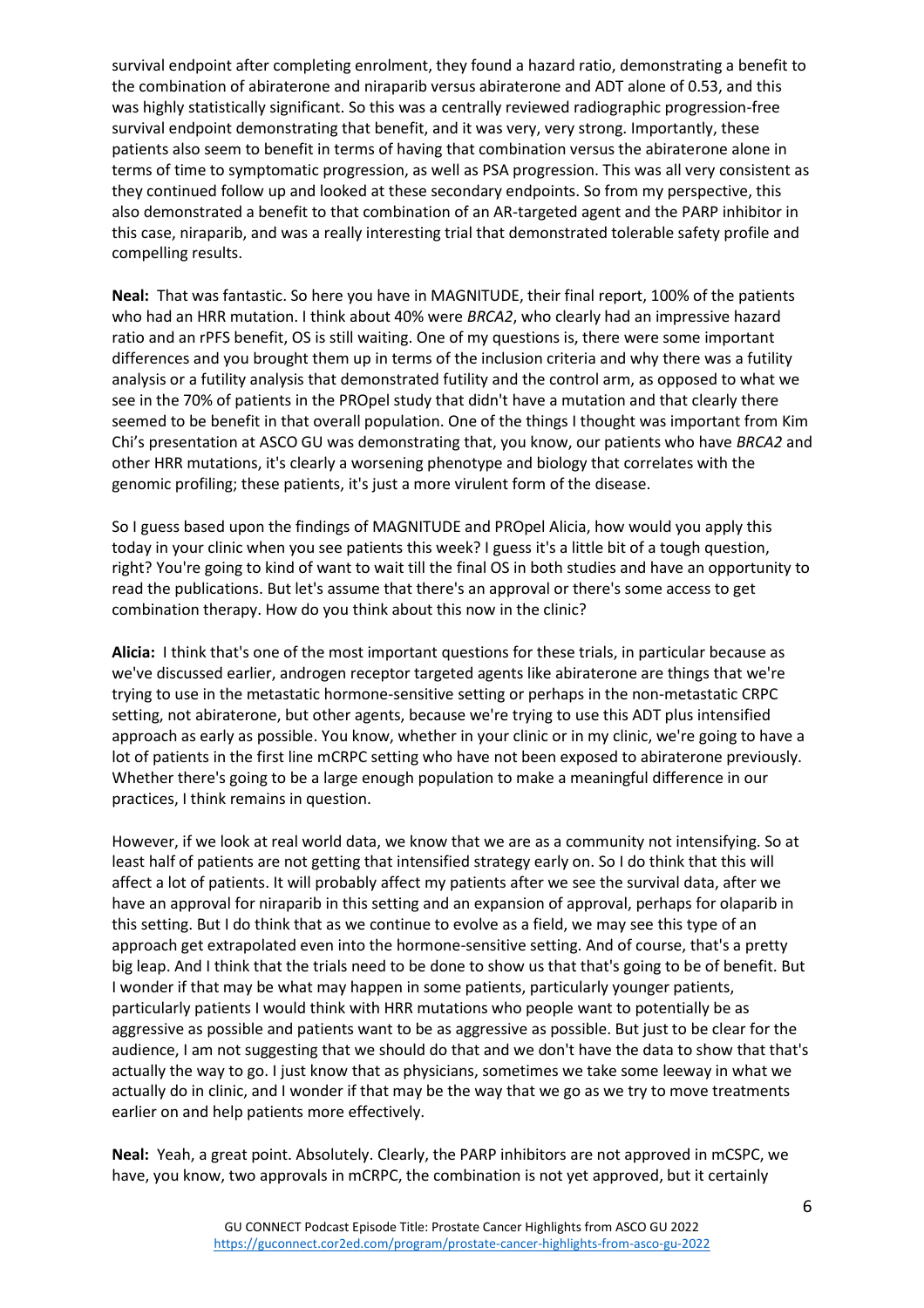survival endpoint after completing enrolment, they found a hazard ratio, demonstrating a benefit to the combination of abiraterone and niraparib versus abiraterone and ADT alone of 0.53, and this was highly statistically significant. So this was a centrally reviewed radiographic progression-free survival endpoint demonstrating that benefit, and it was very, very strong. Importantly, these patients also seem to benefit in terms of having that combination versus the abiraterone alone in terms of time to symptomatic progression, as well as PSA progression. This was all very consistent as they continued follow up and looked at these secondary endpoints. So from my perspective, this also demonstrated a benefit to that combination of an AR-targeted agent and the PARP inhibitor in this case, niraparib, and was a really interesting trial that demonstrated tolerable safety profile and compelling results.

**Neal:** That was fantastic. So here you have in MAGNITUDE, their final report, 100% of the patients who had an HRR mutation. I think about 40% were *BRCA2*, who clearly had an impressive hazard ratio and an rPFS benefit, OS is still waiting. One of my questions is, there were some important differences and you brought them up in terms of the inclusion criteria and why there was a futility analysis or a futility analysis that demonstrated futility and the control arm, as opposed to what we see in the 70% of patients in the PROpel study that didn't have a mutation and that clearly there seemed to be benefit in that overall population. One of the things I thought was important from Kim Chi's presentation at ASCO GU was demonstrating that, you know, our patients who have *BRCA2* and other HRR mutations, it's clearly a worsening phenotype and biology that correlates with the genomic profiling; these patients, it's just a more virulent form of the disease.

So I guess based upon the findings of MAGNITUDE and PROpel Alicia, how would you apply this today in your clinic when you see patients this week? I guess it's a little bit of a tough question, right? You're going to kind of want to wait till the final OS in both studies and have an opportunity to read the publications. But let's assume that there's an approval or there's some access to get combination therapy. How do you think about this now in the clinic?

**Alicia:** I think that's one of the most important questions for these trials, in particular because as we've discussed earlier, androgen receptor targeted agents like abiraterone are things that we're trying to use in the metastatic hormone-sensitive setting or perhaps in the non-metastatic CRPC setting, not abiraterone, but other agents, because we're trying to use this ADT plus intensified approach as early as possible. You know, whether in your clinic or in my clinic, we're going to have a lot of patients in the first line mCRPC setting who have not been exposed to abiraterone previously. Whether there's going to be a large enough population to make a meaningful difference in our practices, I think remains in question.

However, if we look at real world data, we know that we are as a community not intensifying. So at least half of patients are not getting that intensified strategy early on. So I do think that this will affect a lot of patients. It will probably affect my patients after we see the survival data, after we have an approval for niraparib in this setting and an expansion of approval, perhaps for olaparib in this setting. But I do think that as we continue to evolve as a field, we may see this type of an approach get extrapolated even into the hormone-sensitive setting. And of course, that's a pretty big leap. And I think that the trials need to be done to show us that that's going to be of benefit. But I wonder if that may be what may happen in some patients, particularly younger patients, particularly patients I would think with HRR mutations who people want to potentially be as aggressive as possible and patients want to be as aggressive as possible. But just to be clear for the audience, I am not suggesting that we should do that and we don't have the data to show that that's actually the way to go. I just know that as physicians, sometimes we take some leeway in what we actually do in clinic, and I wonder if that may be the way that we go as we try to move treatments earlier on and help patients more effectively.

**Neal:** Yeah, a great point. Absolutely. Clearly, the PARP inhibitors are not approved in mCSPC, we have, you know, two approvals in mCRPC, the combination is not yet approved, but it certainly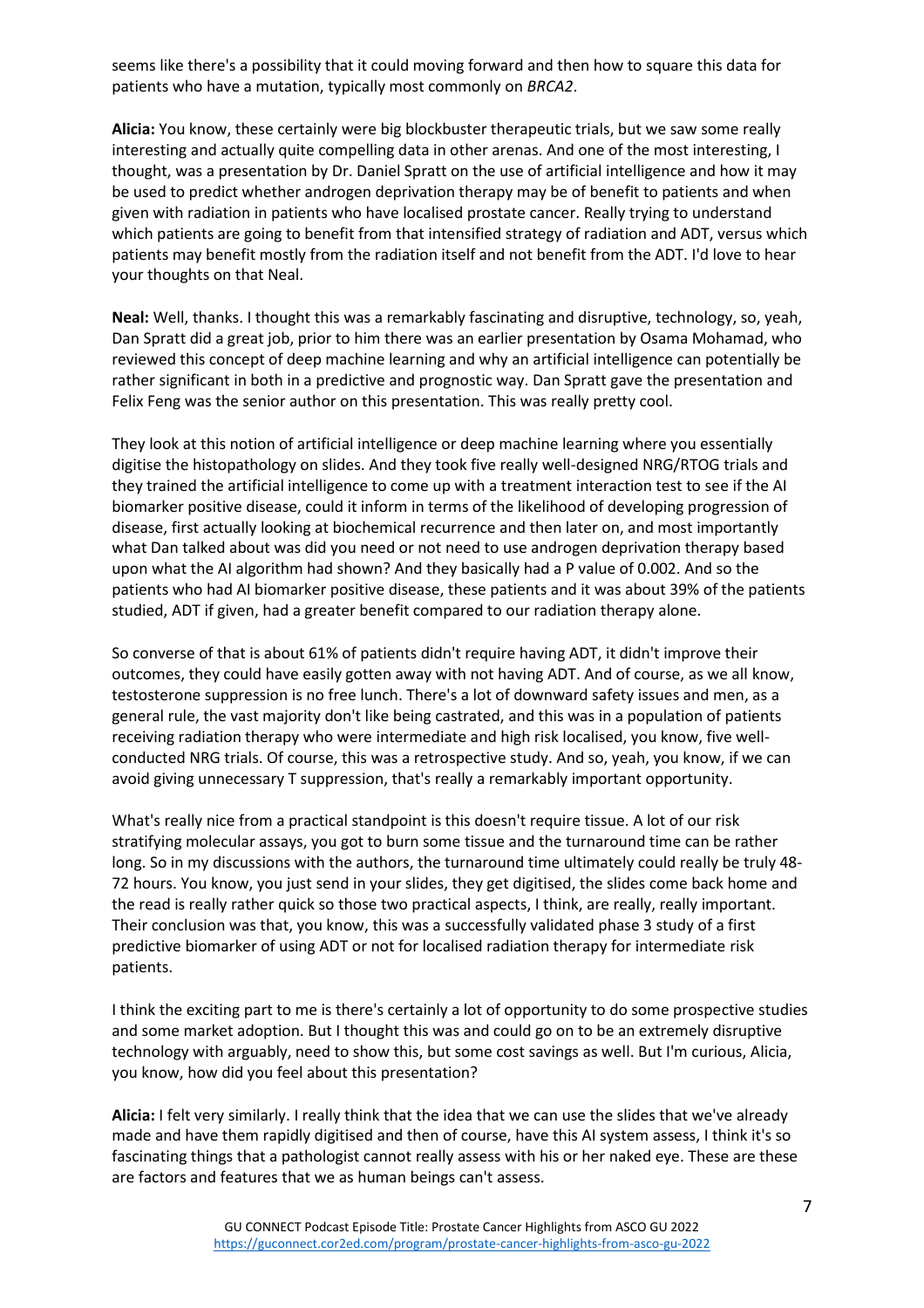seems like there's a possibility that it could moving forward and then how to square this data for patients who have a mutation, typically most commonly on *BRCA2*.

**Alicia:** You know, these certainly were big blockbuster therapeutic trials, but we saw some really interesting and actually quite compelling data in other arenas. And one of the most interesting, I thought, was a presentation by Dr. Daniel Spratt on the use of artificial intelligence and how it may be used to predict whether androgen deprivation therapy may be of benefit to patients and when given with radiation in patients who have localised prostate cancer. Really trying to understand which patients are going to benefit from that intensified strategy of radiation and ADT, versus which patients may benefit mostly from the radiation itself and not benefit from the ADT. I'd love to hear your thoughts on that Neal.

**Neal:** Well, thanks. I thought this was a remarkably fascinating and disruptive, technology, so, yeah, Dan Spratt did a great job, prior to him there was an earlier presentation by Osama Mohamad, who reviewed this concept of deep machine learning and why an artificial intelligence can potentially be rather significant in both in a predictive and prognostic way. Dan Spratt gave the presentation and Felix Feng was the senior author on this presentation. This was really pretty cool.

They look at this notion of artificial intelligence or deep machine learning where you essentially digitise the histopathology on slides. And they took five really well-designed NRG/RTOG trials and they trained the artificial intelligence to come up with a treatment interaction test to see if the AI biomarker positive disease, could it inform in terms of the likelihood of developing progression of disease, first actually looking at biochemical recurrence and then later on, and most importantly what Dan talked about was did you need or not need to use androgen deprivation therapy based upon what the AI algorithm had shown? And they basically had a P value of 0.002. And so the patients who had AI biomarker positive disease, these patients and it was about 39% of the patients studied, ADT if given, had a greater benefit compared to our radiation therapy alone.

So converse of that is about 61% of patients didn't require having ADT, it didn't improve their outcomes, they could have easily gotten away with not having ADT. And of course, as we all know, testosterone suppression is no free lunch. There's a lot of downward safety issues and men, as a general rule, the vast majority don't like being castrated, and this was in a population of patients receiving radiation therapy who were intermediate and high risk localised, you know, five wellconducted NRG trials. Of course, this was a retrospective study. And so, yeah, you know, if we can avoid giving unnecessary T suppression, that's really a remarkably important opportunity.

What's really nice from a practical standpoint is this doesn't require tissue. A lot of our risk stratifying molecular assays, you got to burn some tissue and the turnaround time can be rather long. So in my discussions with the authors, the turnaround time ultimately could really be truly 48- 72 hours. You know, you just send in your slides, they get digitised, the slides come back home and the read is really rather quick so those two practical aspects, I think, are really, really important. Their conclusion was that, you know, this was a successfully validated phase 3 study of a first predictive biomarker of using ADT or not for localised radiation therapy for intermediate risk patients.

I think the exciting part to me is there's certainly a lot of opportunity to do some prospective studies and some market adoption. But I thought this was and could go on to be an extremely disruptive technology with arguably, need to show this, but some cost savings as well. But I'm curious, Alicia, you know, how did you feel about this presentation?

**Alicia:** I felt very similarly. I really think that the idea that we can use the slides that we've already made and have them rapidly digitised and then of course, have this AI system assess, I think it's so fascinating things that a pathologist cannot really assess with his or her naked eye. These are these are factors and features that we as human beings can't assess.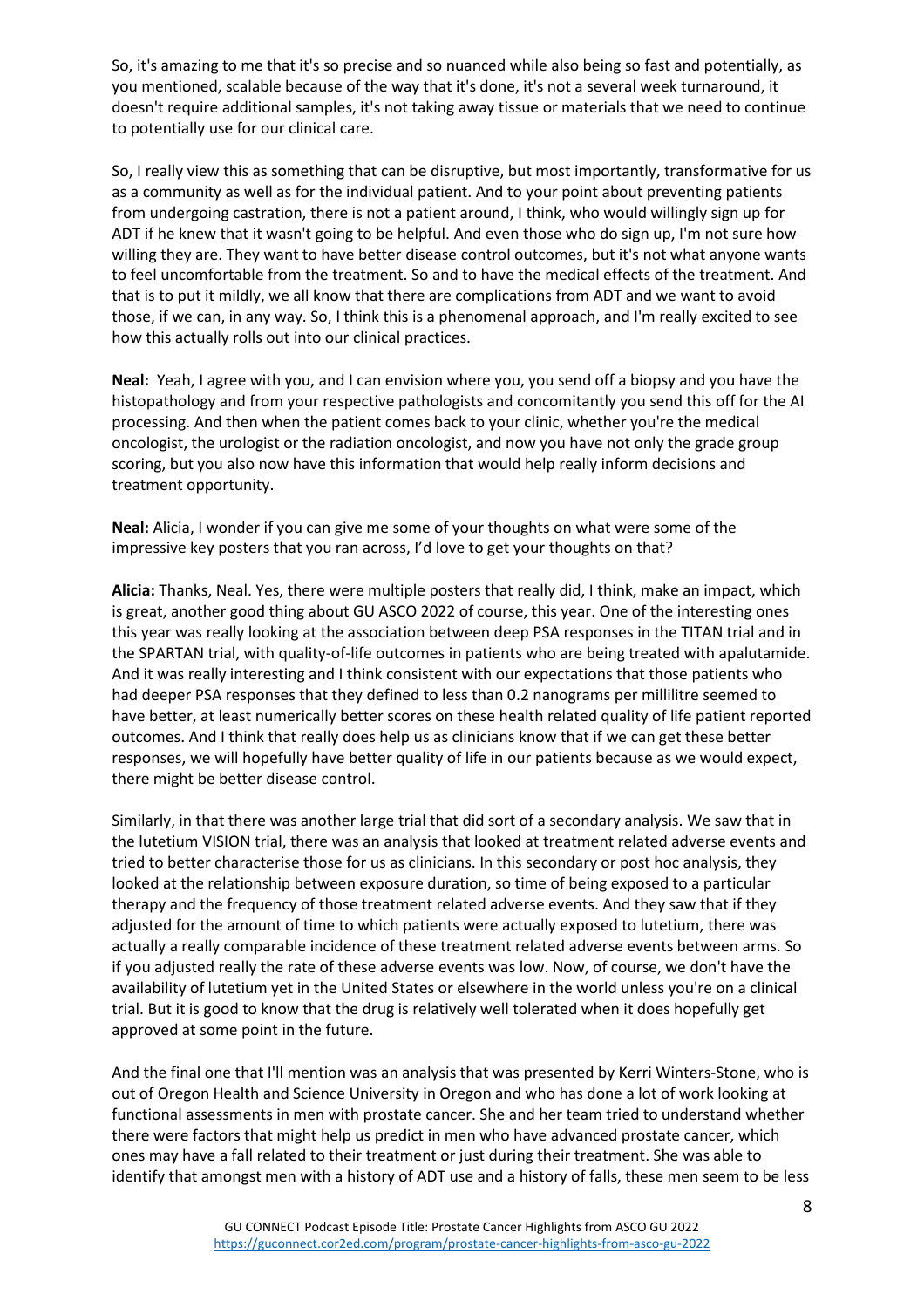So, it's amazing to me that it's so precise and so nuanced while also being so fast and potentially, as you mentioned, scalable because of the way that it's done, it's not a several week turnaround, it doesn't require additional samples, it's not taking away tissue or materials that we need to continue to potentially use for our clinical care.

So, I really view this as something that can be disruptive, but most importantly, transformative for us as a community as well as for the individual patient. And to your point about preventing patients from undergoing castration, there is not a patient around, I think, who would willingly sign up for ADT if he knew that it wasn't going to be helpful. And even those who do sign up, I'm not sure how willing they are. They want to have better disease control outcomes, but it's not what anyone wants to feel uncomfortable from the treatment. So and to have the medical effects of the treatment. And that is to put it mildly, we all know that there are complications from ADT and we want to avoid those, if we can, in any way. So, I think this is a phenomenal approach, and I'm really excited to see how this actually rolls out into our clinical practices.

**Neal:** Yeah, I agree with you, and I can envision where you, you send off a biopsy and you have the histopathology and from your respective pathologists and concomitantly you send this off for the AI processing. And then when the patient comes back to your clinic, whether you're the medical oncologist, the urologist or the radiation oncologist, and now you have not only the grade group scoring, but you also now have this information that would help really inform decisions and treatment opportunity.

**Neal:** Alicia, I wonder if you can give me some of your thoughts on what were some of the impressive key posters that you ran across, I'd love to get your thoughts on that?

**Alicia:** Thanks, Neal. Yes, there were multiple posters that really did, I think, make an impact, which is great, another good thing about GU ASCO 2022 of course, this year. One of the interesting ones this year was really looking at the association between deep PSA responses in the TITAN trial and in the SPARTAN trial, with quality-of-life outcomes in patients who are being treated with apalutamide. And it was really interesting and I think consistent with our expectations that those patients who had deeper PSA responses that they defined to less than 0.2 nanograms per millilitre seemed to have better, at least numerically better scores on these health related quality of life patient reported outcomes. And I think that really does help us as clinicians know that if we can get these better responses, we will hopefully have better quality of life in our patients because as we would expect, there might be better disease control.

Similarly, in that there was another large trial that did sort of a secondary analysis. We saw that in the lutetium VISION trial, there was an analysis that looked at treatment related adverse events and tried to better characterise those for us as clinicians. In this secondary or post hoc analysis, they looked at the relationship between exposure duration, so time of being exposed to a particular therapy and the frequency of those treatment related adverse events. And they saw that if they adjusted for the amount of time to which patients were actually exposed to lutetium, there was actually a really comparable incidence of these treatment related adverse events between arms. So if you adjusted really the rate of these adverse events was low. Now, of course, we don't have the availability of lutetium yet in the United States or elsewhere in the world unless you're on a clinical trial. But it is good to know that the drug is relatively well tolerated when it does hopefully get approved at some point in the future.

And the final one that I'll mention was an analysis that was presented by Kerri Winters-Stone, who is out of Oregon Health and Science University in Oregon and who has done a lot of work looking at functional assessments in men with prostate cancer. She and her team tried to understand whether there were factors that might help us predict in men who have advanced prostate cancer, which ones may have a fall related to their treatment or just during their treatment. She was able to identify that amongst men with a history of ADT use and a history of falls, these men seem to be less